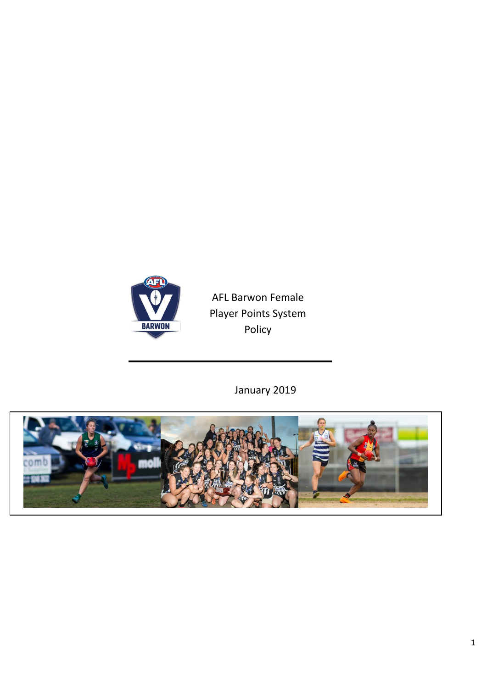

AFL Barwon Female Player Points System Policy

January 2019

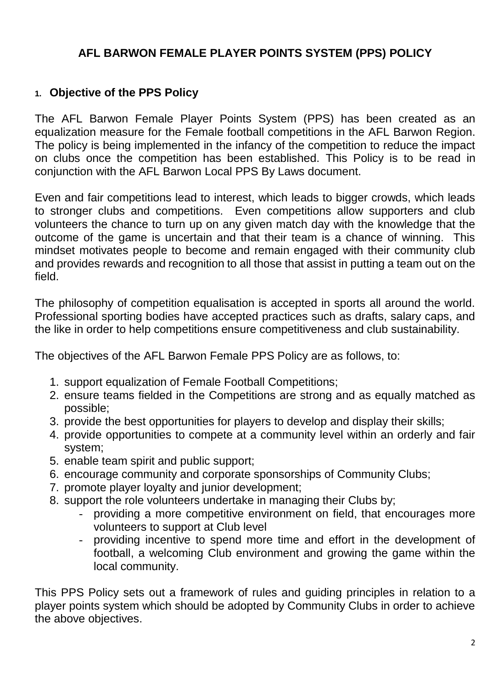# **AFL BARWON FEMALE PLAYER POINTS SYSTEM (PPS) POLICY**

### **1. Objective of the PPS Policy**

The AFL Barwon Female Player Points System (PPS) has been created as an equalization measure for the Female football competitions in the AFL Barwon Region. The policy is being implemented in the infancy of the competition to reduce the impact on clubs once the competition has been established. This Policy is to be read in conjunction with the AFL Barwon Local PPS By Laws document.

Even and fair competitions lead to interest, which leads to bigger crowds, which leads to stronger clubs and competitions. Even competitions allow supporters and club volunteers the chance to turn up on any given match day with the knowledge that the outcome of the game is uncertain and that their team is a chance of winning. This mindset motivates people to become and remain engaged with their community club and provides rewards and recognition to all those that assist in putting a team out on the field.

The philosophy of competition equalisation is accepted in sports all around the world. Professional sporting bodies have accepted practices such as drafts, salary caps, and the like in order to help competitions ensure competitiveness and club sustainability.

The objectives of the AFL Barwon Female PPS Policy are as follows, to:

- 1. support equalization of Female Football Competitions;
- 2. ensure teams fielded in the Competitions are strong and as equally matched as possible;
- 3. provide the best opportunities for players to develop and display their skills;
- 4. provide opportunities to compete at a community level within an orderly and fair system;
- 5. enable team spirit and public support;
- 6. encourage community and corporate sponsorships of Community Clubs;
- 7. promote player loyalty and junior development;
- 8. support the role volunteers undertake in managing their Clubs by;
	- providing a more competitive environment on field, that encourages more volunteers to support at Club level
	- providing incentive to spend more time and effort in the development of football, a welcoming Club environment and growing the game within the local community.

This PPS Policy sets out a framework of rules and guiding principles in relation to a player points system which should be adopted by Community Clubs in order to achieve the above objectives.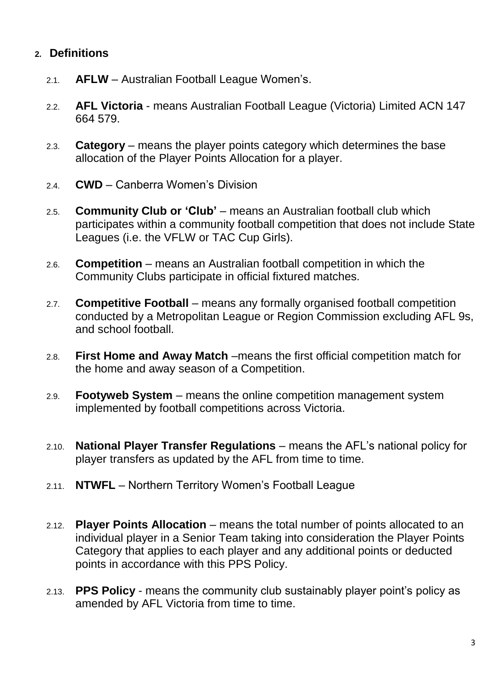### **2. Definitions**

- 2.1. **AFLW** Australian Football League Women's.
- 2.2. **AFL Victoria** means Australian Football League (Victoria) Limited ACN 147 664 579.
- 2.3. **Category** means the player points category which determines the base allocation of the Player Points Allocation for a player.
- 2.4. **CWD** Canberra Women's Division
- 2.5. **Community Club or 'Club'** means an Australian football club which participates within a community football competition that does not include State Leagues (i.e. the VFLW or TAC Cup Girls).
- 2.6. **Competition** means an Australian football competition in which the Community Clubs participate in official fixtured matches.
- 2.7. **Competitive Football** means any formally organised football competition conducted by a Metropolitan League or Region Commission excluding AFL 9s, and school football.
- 2.8. **First Home and Away Match** –means the first official competition match for the home and away season of a Competition.
- 2.9. **Footyweb System** means the online competition management system implemented by football competitions across Victoria.
- 2.10. **National Player Transfer Regulations**  means the AFL's national policy for player transfers as updated by the AFL from time to time.
- 2.11. **NTWFL**  Northern Territory Women's Football League
- 2.12. **Player Points Allocation** means the total number of points allocated to an individual player in a Senior Team taking into consideration the Player Points Category that applies to each player and any additional points or deducted points in accordance with this PPS Policy.
- 2.13. **PPS Policy** means the community club sustainably player point's policy as amended by AFL Victoria from time to time.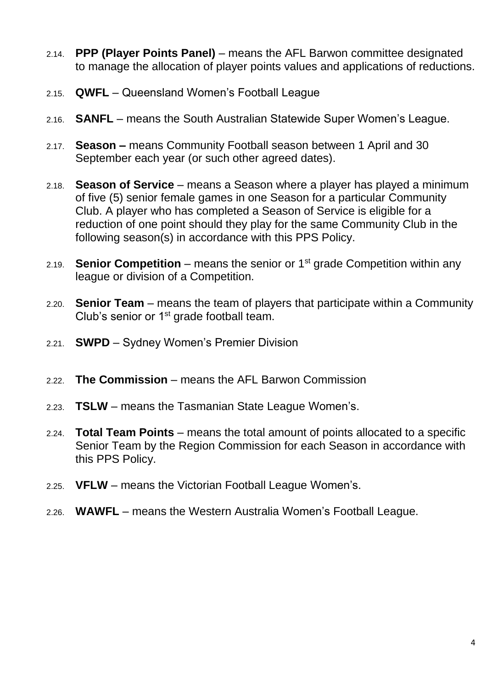- 2.14. **PPP (Player Points Panel)** means the AFL Barwon committee designated to manage the allocation of player points values and applications of reductions.
- 2.15. **QWFL** Queensland Women's Football League
- 2.16. **SANFL** means the South Australian Statewide Super Women's League.
- 2.17. **Season –** means Community Football season between 1 April and 30 September each year (or such other agreed dates).
- 2.18. **Season of Service** means a Season where a player has played a minimum of five (5) senior female games in one Season for a particular Community Club. A player who has completed a Season of Service is eligible for a reduction of one point should they play for the same Community Club in the following season(s) in accordance with this PPS Policy.
- 2.19. **Senior Competition** means the senior or 1st grade Competition within any league or division of a Competition.
- 2.20. **Senior Team** means the team of players that participate within a Community Club's senior or 1<sup>st</sup> grade football team.
- 2.21. **SWPD** Sydney Women's Premier Division
- 2.22. **The Commission** means the AFL Barwon Commission
- 2.23. **TSLW** means the Tasmanian State League Women's.
- 2.24. **Total Team Points** means the total amount of points allocated to a specific Senior Team by the Region Commission for each Season in accordance with this PPS Policy.
- 2.25. **VFLW** means the Victorian Football League Women's.
- 2.26. **WAWFL** means the Western Australia Women's Football League.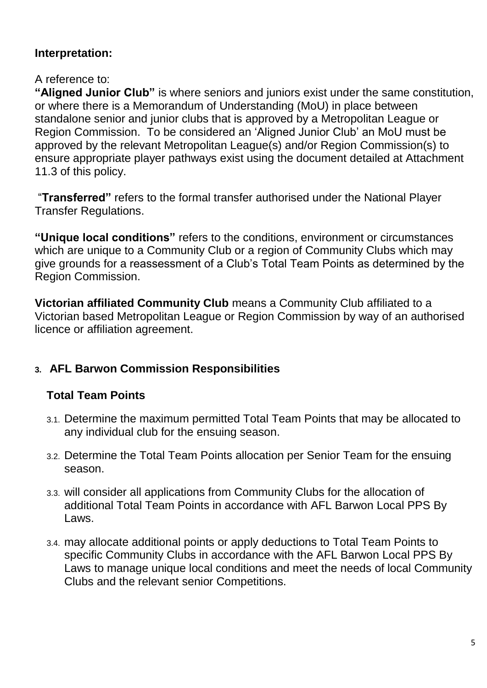# **Interpretation:**

### A reference to:

**"Aligned Junior Club"** is where seniors and juniors exist under the same constitution, or where there is a Memorandum of Understanding (MoU) in place between standalone senior and junior clubs that is approved by a Metropolitan League or Region Commission. To be considered an 'Aligned Junior Club' an MoU must be approved by the relevant Metropolitan League(s) and/or Region Commission(s) to ensure appropriate player pathways exist using the document detailed at Attachment 11.3 of this policy.

"**Transferred"** refers to the formal transfer authorised under the National Player Transfer Regulations.

**"Unique local conditions"** refers to the conditions, environment or circumstances which are unique to a Community Club or a region of Community Clubs which may give grounds for a reassessment of a Club's Total Team Points as determined by the Region Commission.

**Victorian affiliated Community Club** means a Community Club affiliated to a Victorian based Metropolitan League or Region Commission by way of an authorised licence or affiliation agreement.

# **3. AFL Barwon Commission Responsibilities**

# **Total Team Points**

- 3.1. Determine the maximum permitted Total Team Points that may be allocated to any individual club for the ensuing season.
- 3.2. Determine the Total Team Points allocation per Senior Team for the ensuing season.
- 3.3. will consider all applications from Community Clubs for the allocation of additional Total Team Points in accordance with AFL Barwon Local PPS By Laws.
- 3.4. may allocate additional points or apply deductions to Total Team Points to specific Community Clubs in accordance with the AFL Barwon Local PPS By Laws to manage unique local conditions and meet the needs of local Community Clubs and the relevant senior Competitions.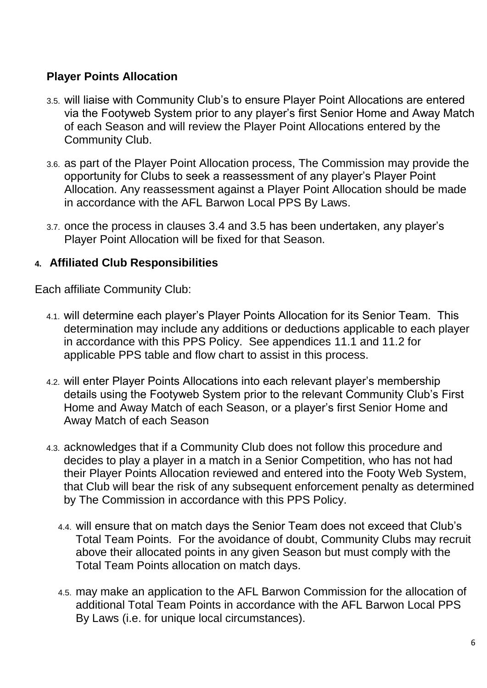### **Player Points Allocation**

- 3.5. will liaise with Community Club's to ensure Player Point Allocations are entered via the Footyweb System prior to any player's first Senior Home and Away Match of each Season and will review the Player Point Allocations entered by the Community Club.
- 3.6. as part of the Player Point Allocation process, The Commission may provide the opportunity for Clubs to seek a reassessment of any player's Player Point Allocation. Any reassessment against a Player Point Allocation should be made in accordance with the AFL Barwon Local PPS By Laws.
- 3.7. once the process in clauses 3.4 and 3.5 has been undertaken, any player's Player Point Allocation will be fixed for that Season.

### **4. Affiliated Club Responsibilities**

Each affiliate Community Club:

- 4.1. will determine each player's Player Points Allocation for its Senior Team. This determination may include any additions or deductions applicable to each player in accordance with this PPS Policy. See appendices 11.1 and 11.2 for applicable PPS table and flow chart to assist in this process.
- 4.2. will enter Player Points Allocations into each relevant player's membership details using the Footyweb System prior to the relevant Community Club's First Home and Away Match of each Season, or a player's first Senior Home and Away Match of each Season
- 4.3. acknowledges that if a Community Club does not follow this procedure and decides to play a player in a match in a Senior Competition, who has not had their Player Points Allocation reviewed and entered into the Footy Web System, that Club will bear the risk of any subsequent enforcement penalty as determined by The Commission in accordance with this PPS Policy.
	- 4.4. will ensure that on match days the Senior Team does not exceed that Club's Total Team Points. For the avoidance of doubt, Community Clubs may recruit above their allocated points in any given Season but must comply with the Total Team Points allocation on match days.
	- 4.5. may make an application to the AFL Barwon Commission for the allocation of additional Total Team Points in accordance with the AFL Barwon Local PPS By Laws (i.e. for unique local circumstances).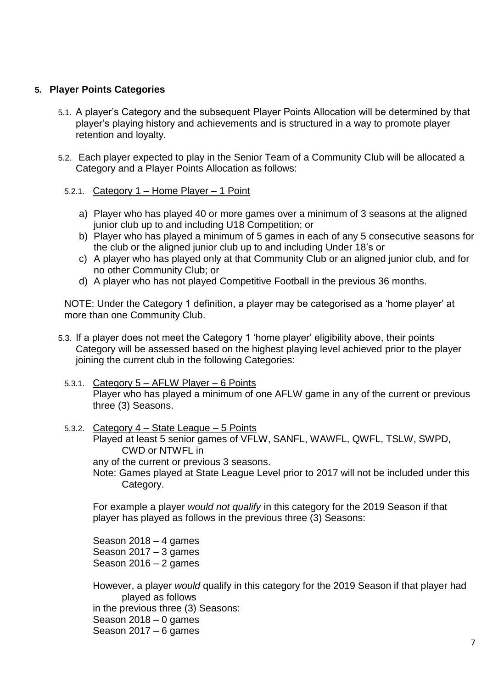### **5. Player Points Categories**

- 5.1. A player's Category and the subsequent Player Points Allocation will be determined by that player's playing history and achievements and is structured in a way to promote player retention and loyalty.
- 5.2. Each player expected to play in the Senior Team of a Community Club will be allocated a Category and a Player Points Allocation as follows:
	- 5.2.1. Category 1 Home Player 1 Point
		- a) Player who has played 40 or more games over a minimum of 3 seasons at the aligned junior club up to and including U18 Competition; or
		- b) Player who has played a minimum of 5 games in each of any 5 consecutive seasons for the club or the aligned junior club up to and including Under 18's or
		- c) A player who has played only at that Community Club or an aligned junior club, and for no other Community Club; or
		- d) A player who has not played Competitive Football in the previous 36 months.

NOTE: Under the Category 1 definition, a player may be categorised as a 'home player' at more than one Community Club.

- 5.3. If a player does not meet the Category 1 'home player' eligibility above, their points Category will be assessed based on the highest playing level achieved prior to the player joining the current club in the following Categories:
	- 5.3.1. Category 5 AFLW Player 6 Points Player who has played a minimum of one AFLW game in any of the current or previous three (3) Seasons.
	- 5.3.2. Category 4 State League 5 Points Played at least 5 senior games of VFLW, SANFL, WAWFL, QWFL, TSLW, SWPD, CWD or NTWFL in

any of the current or previous 3 seasons.

Note: Games played at State League Level prior to 2017 will not be included under this Category.

For example a player *would not qualify* in this category for the 2019 Season if that player has played as follows in the previous three (3) Seasons:

Season 2018 – 4 games Season 2017 – 3 games Season 2016 – 2 games

However, a player *would* qualify in this category for the 2019 Season if that player had played as follows in the previous three (3) Seasons: Season 2018 – 0 games Season 2017 – 6 games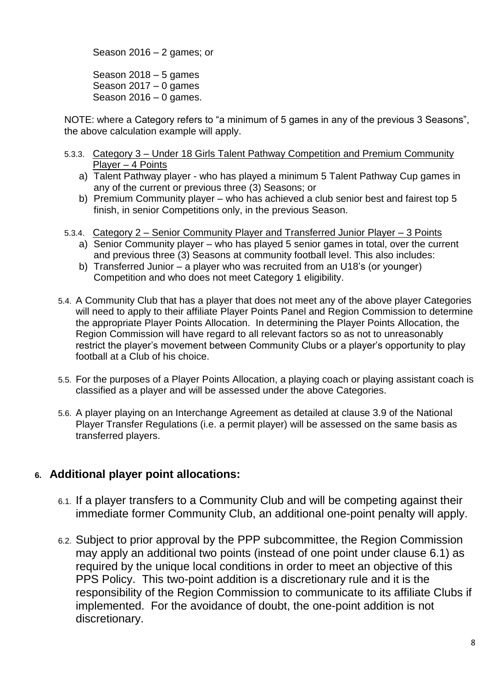Season  $2016 - 2$  games; or

Season 2018 – 5 games Season 2017 – 0 games Season  $2016 - 0$  games.

NOTE: where a Category refers to "a minimum of 5 games in any of the previous 3 Seasons", the above calculation example will apply.

- 5.3.3. Category 3 Under 18 Girls Talent Pathway Competition and Premium Community Player – 4 Points
	- a) Talent Pathway player who has played a minimum 5 Talent Pathway Cup games in any of the current or previous three (3) Seasons; or
	- b) Premium Community player who has achieved a club senior best and fairest top 5 finish, in senior Competitions only, in the previous Season.
- 5.3.4. Category 2 Senior Community Player and Transferred Junior Player 3 Points
	- a) Senior Community player who has played 5 senior games in total, over the current and previous three (3) Seasons at community football level. This also includes:
	- b) Transferred Junior a player who was recruited from an U18's (or younger) Competition and who does not meet Category 1 eligibility.
- 5.4. A Community Club that has a player that does not meet any of the above player Categories will need to apply to their affiliate Player Points Panel and Region Commission to determine the appropriate Player Points Allocation. In determining the Player Points Allocation, the Region Commission will have regard to all relevant factors so as not to unreasonably restrict the player's movement between Community Clubs or a player's opportunity to play football at a Club of his choice.
- 5.5. For the purposes of a Player Points Allocation, a playing coach or playing assistant coach is classified as a player and will be assessed under the above Categories.
- 5.6. A player playing on an Interchange Agreement as detailed at clause 3.9 of the National Player Transfer Regulations (i.e. a permit player) will be assessed on the same basis as transferred players.

### **6. Additional player point allocations:**

- 6.1. If a player transfers to a Community Club and will be competing against their immediate former Community Club, an additional one-point penalty will apply.
- 6.2. Subject to prior approval by the PPP subcommittee, the Region Commission may apply an additional two points (instead of one point under clause 6.1) as required by the unique local conditions in order to meet an objective of this PPS Policy. This two-point addition is a discretionary rule and it is the responsibility of the Region Commission to communicate to its affiliate Clubs if implemented. For the avoidance of doubt, the one-point addition is not discretionary.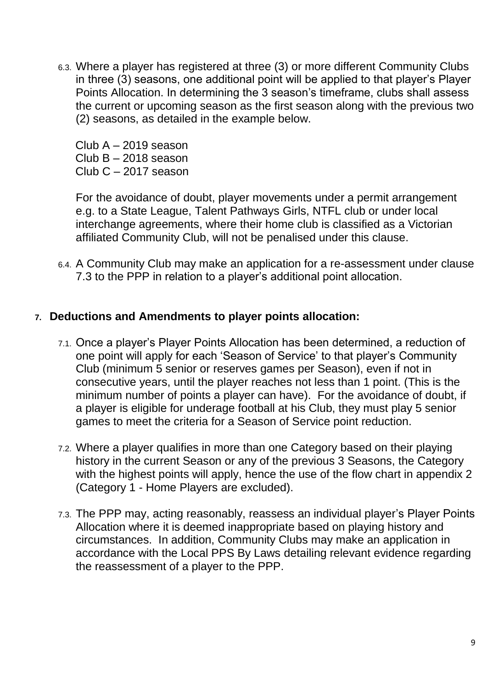6.3. Where a player has registered at three (3) or more different Community Clubs in three (3) seasons, one additional point will be applied to that player's Player Points Allocation. In determining the 3 season's timeframe, clubs shall assess the current or upcoming season as the first season along with the previous two (2) seasons, as detailed in the example below.

Club A – 2019 season Club B – 2018 season Club C – 2017 season

For the avoidance of doubt, player movements under a permit arrangement e.g. to a State League, Talent Pathways Girls, NTFL club or under local interchange agreements, where their home club is classified as a Victorian affiliated Community Club, will not be penalised under this clause.

6.4. A Community Club may make an application for a re-assessment under clause 7.3 to the PPP in relation to a player's additional point allocation.

### **7. Deductions and Amendments to player points allocation:**

- 7.1. Once a player's Player Points Allocation has been determined, a reduction of one point will apply for each 'Season of Service' to that player's Community Club (minimum 5 senior or reserves games per Season), even if not in consecutive years, until the player reaches not less than 1 point. (This is the minimum number of points a player can have). For the avoidance of doubt, if a player is eligible for underage football at his Club, they must play 5 senior games to meet the criteria for a Season of Service point reduction.
- 7.2. Where a player qualifies in more than one Category based on their playing history in the current Season or any of the previous 3 Seasons, the Category with the highest points will apply, hence the use of the flow chart in appendix 2 (Category 1 - Home Players are excluded).
- 7.3. The PPP may, acting reasonably, reassess an individual player's Player Points Allocation where it is deemed inappropriate based on playing history and circumstances. In addition, Community Clubs may make an application in accordance with the Local PPS By Laws detailing relevant evidence regarding the reassessment of a player to the PPP.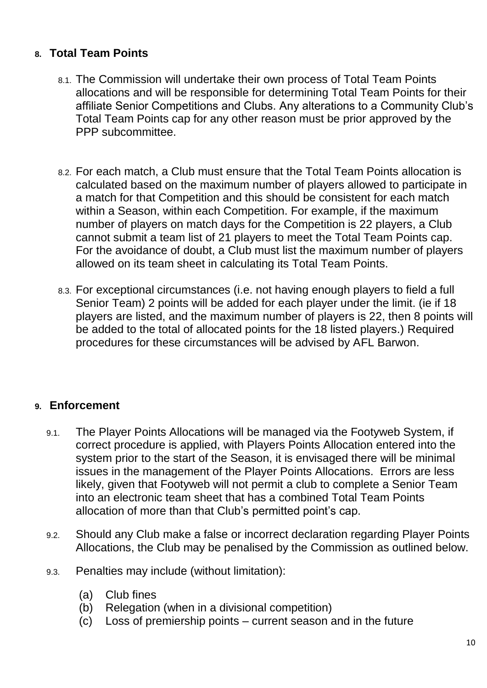### **8. Total Team Points**

- 8.1. The Commission will undertake their own process of Total Team Points allocations and will be responsible for determining Total Team Points for their affiliate Senior Competitions and Clubs. Any alterations to a Community Club's Total Team Points cap for any other reason must be prior approved by the PPP subcommittee.
- 8.2. For each match, a Club must ensure that the Total Team Points allocation is calculated based on the maximum number of players allowed to participate in a match for that Competition and this should be consistent for each match within a Season, within each Competition. For example, if the maximum number of players on match days for the Competition is 22 players, a Club cannot submit a team list of 21 players to meet the Total Team Points cap. For the avoidance of doubt, a Club must list the maximum number of players allowed on its team sheet in calculating its Total Team Points.
- 8.3. For exceptional circumstances (i.e. not having enough players to field a full Senior Team) 2 points will be added for each player under the limit. (ie if 18 players are listed, and the maximum number of players is 22, then 8 points will be added to the total of allocated points for the 18 listed players.) Required procedures for these circumstances will be advised by AFL Barwon.

# **9. Enforcement**

- 9.1. The Player Points Allocations will be managed via the Footyweb System, if correct procedure is applied, with Players Points Allocation entered into the system prior to the start of the Season, it is envisaged there will be minimal issues in the management of the Player Points Allocations. Errors are less likely, given that Footyweb will not permit a club to complete a Senior Team into an electronic team sheet that has a combined Total Team Points allocation of more than that Club's permitted point's cap.
- 9.2. Should any Club make a false or incorrect declaration regarding Player Points Allocations, the Club may be penalised by the Commission as outlined below.
- 9.3. Penalties may include (without limitation):
	- (a) Club fines
	- (b) Relegation (when in a divisional competition)
	- (c) Loss of premiership points current season and in the future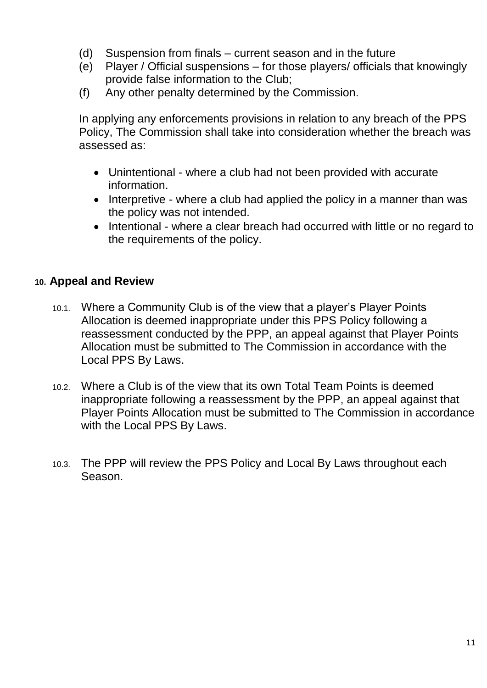- (d) Suspension from finals current season and in the future
- (e) Player / Official suspensions for those players/ officials that knowingly provide false information to the Club;
- (f) Any other penalty determined by the Commission.

In applying any enforcements provisions in relation to any breach of the PPS Policy, The Commission shall take into consideration whether the breach was assessed as:

- Unintentional where a club had not been provided with accurate information.
- Interpretive where a club had applied the policy in a manner than was the policy was not intended.
- Intentional where a clear breach had occurred with little or no regard to the requirements of the policy.

### **10. Appeal and Review**

- 10.1. Where a Community Club is of the view that a player's Player Points Allocation is deemed inappropriate under this PPS Policy following a reassessment conducted by the PPP, an appeal against that Player Points Allocation must be submitted to The Commission in accordance with the Local PPS By Laws.
- 10.2. Where a Club is of the view that its own Total Team Points is deemed inappropriate following a reassessment by the PPP, an appeal against that Player Points Allocation must be submitted to The Commission in accordance with the Local PPS By Laws.
- 10.3. The PPP will review the PPS Policy and Local By Laws throughout each Season.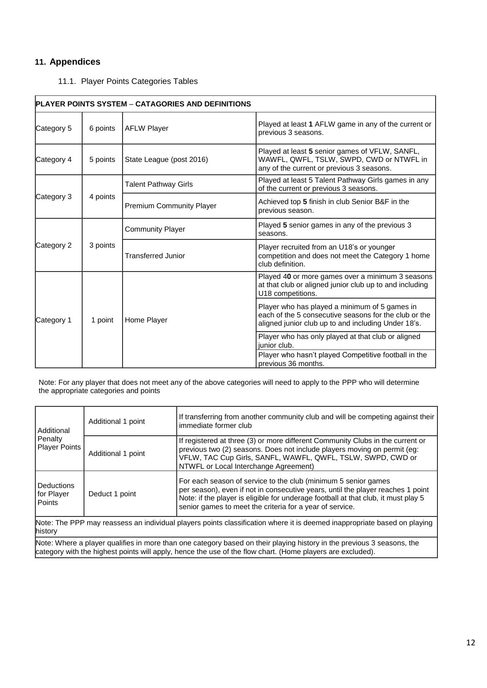#### **11. Appendices**

#### 11.1. Player Points Categories Tables

| <b>PLAYER POINTS SYSTEM - CATAGORIES AND DEFINITIONS</b> |          |                                 |                                                                                                                                                               |  |
|----------------------------------------------------------|----------|---------------------------------|---------------------------------------------------------------------------------------------------------------------------------------------------------------|--|
| Category 5                                               | 6 points | <b>AFLW Player</b>              | Played at least 1 AFLW game in any of the current or<br>previous 3 seasons.                                                                                   |  |
| Category 4                                               | 5 points | State League (post 2016)        | Played at least 5 senior games of VFLW, SANFL,<br>WAWFL, QWFL, TSLW, SWPD, CWD or NTWFL in<br>any of the current or previous 3 seasons.                       |  |
| Category 3                                               | 4 points | <b>Talent Pathway Girls</b>     | Played at least 5 Talent Pathway Girls games in any<br>of the current or previous 3 seasons.                                                                  |  |
|                                                          |          | <b>Premium Community Player</b> | Achieved top 5 finish in club Senior B&F in the<br>previous season.                                                                                           |  |
| Category 2                                               | 3 points | <b>Community Player</b>         | Played 5 senior games in any of the previous 3<br>seasons.                                                                                                    |  |
|                                                          |          | <b>Transferred Junior</b>       | Player recruited from an U18's or younger<br>competition and does not meet the Category 1 home<br>club definition.                                            |  |
| Category 1                                               | 1 point  | Home Player                     | Played 40 or more games over a minimum 3 seasons<br>at that club or aligned junior club up to and including<br>U18 competitions.                              |  |
|                                                          |          |                                 | Player who has played a minimum of 5 games in<br>each of the 5 consecutive seasons for the club or the<br>aligned junior club up to and including Under 18's. |  |
|                                                          |          |                                 | Player who has only played at that club or aligned<br>junior club.                                                                                            |  |
|                                                          |          |                                 | Player who hasn't played Competitive football in the<br>previous 36 months.                                                                                   |  |

Note: For any player that does not meet any of the above categories will need to apply to the PPP who will determine the appropriate categories and points

| Additional<br>Penalty<br><b>Player Points</b>                                                                                       | Additional 1 point | If transferring from another community club and will be competing against their<br>immediate former club                                                                                                                                                                                            |  |  |
|-------------------------------------------------------------------------------------------------------------------------------------|--------------------|-----------------------------------------------------------------------------------------------------------------------------------------------------------------------------------------------------------------------------------------------------------------------------------------------------|--|--|
|                                                                                                                                     | Additional 1 point | If registered at three (3) or more different Community Clubs in the current or<br>previous two (2) seasons. Does not include players moving on permit (eg:<br>VFLW, TAC Cup Girls, SANFL, WAWFL, QWFL, TSLW, SWPD, CWD or<br>NTWFL or Local Interchange Agreement)                                  |  |  |
| l Deductions<br>for Player<br>Points                                                                                                | Deduct 1 point     | For each season of service to the club (minimum 5 senior games<br>per season), even if not in consecutive years, until the player reaches 1 point<br>Note: if the player is eligible for underage football at that club, it must play 5<br>senior games to meet the criteria for a year of service. |  |  |
| Note: The PPP may reassess an individual players points classification where it is deemed inappropriate based on playing<br>history |                    |                                                                                                                                                                                                                                                                                                     |  |  |
| hlota: Where a player qualifies in more than ano octogeny begad on their playing biotony in the provious 3 second the               |                    |                                                                                                                                                                                                                                                                                                     |  |  |

Note: Where a player qualifies in more than one category based on their playing history in the previous 3 seasons, the category with the highest points will apply, hence the use of the flow chart. (Home players are excluded).